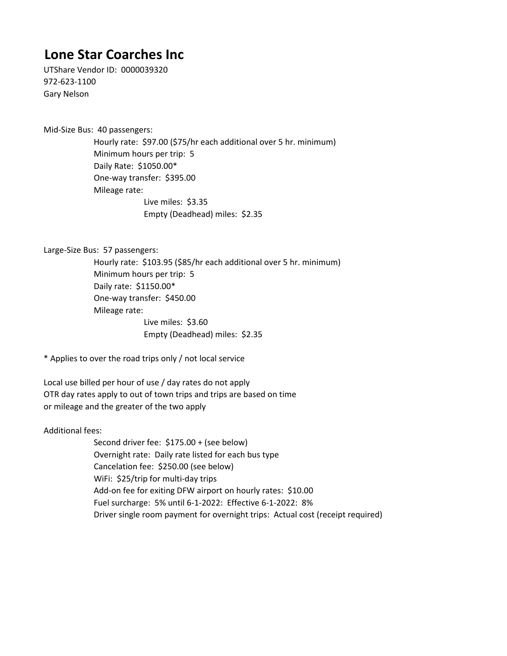## **Lone Star Coarches Inc**

UTShare Vendor ID: 0000039320 972-623-1100 Gary Nelson

Mid-Size Bus: 40 passengers:

Hourly rate: \$97.00 (\$75/hr each additional over 5 hr. minimum) Minimum hours per trip: 5 Daily Rate: \$1050.00\* One-way transfer: \$395.00 Mileage rate: Live miles: \$3.35 Empty (Deadhead) miles: \$2.35

Large-Size Bus: 57 passengers:

Live miles: \$3.60 Hourly rate: \$103.95 (\$85/hr each additional over 5 hr. minimum) Minimum hours per trip: 5 Daily rate: \$1150.00\* One-way transfer: \$450.00 Mileage rate: Empty (Deadhead) miles: \$2.35

\* Applies to over the road trips only / not local service

Local use billed per hour of use / day rates do not apply OTR day rates apply to out of town trips and trips are based on time or mileage and the greater of the two apply

Additional fees:

Fuel surcharge: 5% until 6-1-2022: Effective 6-1-2022: 8% Second driver fee: \$175.00 + (see below) Overnight rate: Daily rate listed for each bus type Cancelation fee: \$250.00 (see below) WiFi: \$25/trip for multi-day trips Add-on fee for exiting DFW airport on hourly rates: \$10.00 Driver single room payment for overnight trips: Actual cost (receipt required)